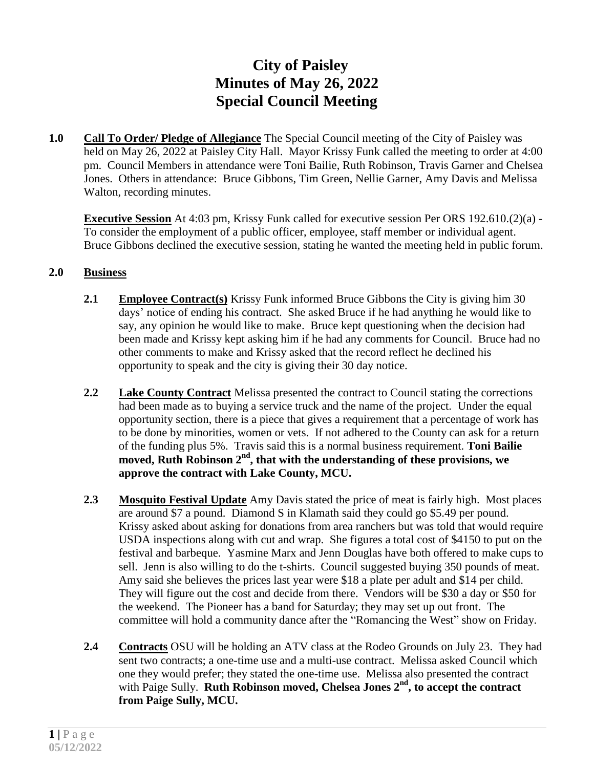## **City of Paisley Minutes of May 26, 2022 Special Council Meeting**

**1.0 Call To Order/ Pledge of Allegiance** The Special Council meeting of the City of Paisley was held on May 26, 2022 at Paisley City Hall. Mayor Krissy Funk called the meeting to order at 4:00 pm. Council Members in attendance were Toni Bailie, Ruth Robinson, Travis Garner and Chelsea Jones. Others in attendance: Bruce Gibbons, Tim Green, Nellie Garner, Amy Davis and Melissa Walton, recording minutes.

**Executive Session** At 4:03 pm, Krissy Funk called for executive session Per ORS 192.610.(2)(a) - To consider the employment of a public officer, employee, staff member or individual agent. Bruce Gibbons declined the executive session, stating he wanted the meeting held in public forum.

## **2.0 Business**

- **2.1 Employee Contract(s)** Krissy Funk informed Bruce Gibbons the City is giving him 30 days' notice of ending his contract. She asked Bruce if he had anything he would like to say, any opinion he would like to make. Bruce kept questioning when the decision had been made and Krissy kept asking him if he had any comments for Council. Bruce had no other comments to make and Krissy asked that the record reflect he declined his opportunity to speak and the city is giving their 30 day notice.
- **2.2 Lake County Contract** Melissa presented the contract to Council stating the corrections had been made as to buying a service truck and the name of the project. Under the equal opportunity section, there is a piece that gives a requirement that a percentage of work has to be done by minorities, women or vets. If not adhered to the County can ask for a return of the funding plus 5%. Travis said this is a normal business requirement. **Toni Bailie moved, Ruth Robinson 2nd , that with the understanding of these provisions, we approve the contract with Lake County, MCU.**
- **2.3 Mosquito Festival Update** Amy Davis stated the price of meat is fairly high. Most places are around \$7 a pound. Diamond S in Klamath said they could go \$5.49 per pound. Krissy asked about asking for donations from area ranchers but was told that would require USDA inspections along with cut and wrap. She figures a total cost of \$4150 to put on the festival and barbeque. Yasmine Marx and Jenn Douglas have both offered to make cups to sell. Jenn is also willing to do the t-shirts. Council suggested buying 350 pounds of meat. Amy said she believes the prices last year were \$18 a plate per adult and \$14 per child. They will figure out the cost and decide from there. Vendors will be \$30 a day or \$50 for the weekend. The Pioneer has a band for Saturday; they may set up out front. The committee will hold a community dance after the "Romancing the West" show on Friday.
- **2.4 Contracts** OSU will be holding an ATV class at the Rodeo Grounds on July 23. They had sent two contracts; a one-time use and a multi-use contract. Melissa asked Council which one they would prefer; they stated the one-time use. Melissa also presented the contract with Paige Sully. **Ruth Robinson moved, Chelsea Jones 2nd , to accept the contract from Paige Sully, MCU.**